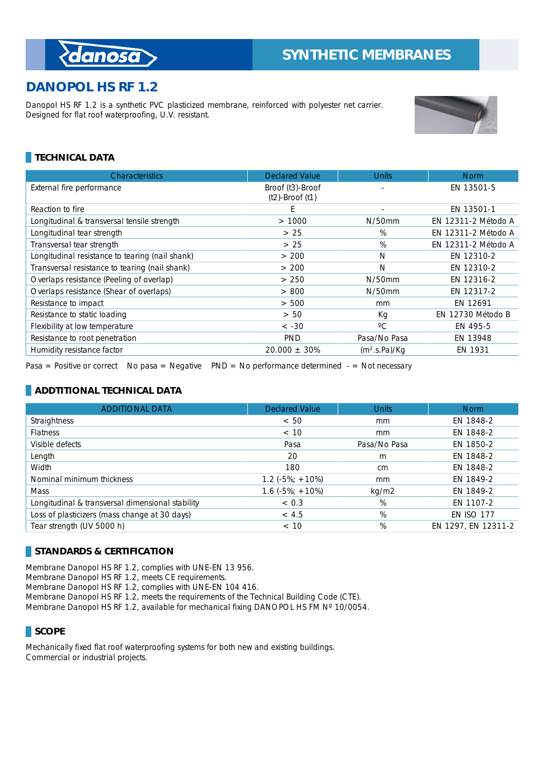## **DANOPOL HS RF 1.2**

*danosa* 

Danopol HS RF 1.2 is a synthetic PVC plasticized membrane, reinforced with polyester net carrier. Designed for flat roof waterproofing, U.V. resistant.



## **TECHNICAL DATA**

| Characteristics                                 | <b>Declared Value</b> | <b>Units</b>              | <b>Norm</b>         |
|-------------------------------------------------|-----------------------|---------------------------|---------------------|
| External fire performance                       | Broof (t3)-Broof      |                           | EN 13501-5          |
|                                                 | $(t2)$ -Broof $(t1)$  |                           |                     |
| Reaction to fire                                | E                     | ٠                         | EN 13501-1          |
| Longitudinal & transversal tensile strength     | >1000                 | $N/50$ mm                 | EN 12311-2 Método A |
| Longitudinal tear strength                      | > 25                  | %                         | EN 12311-2 Método A |
| Transversal tear strength                       | > 25                  | %                         | EN 12311-2 Método A |
| Longitudinal resistance to tearing (nail shank) | > 200                 | N                         | EN 12310-2          |
| Transversal resistance to tearing (nail shank)  | > 200                 | N                         | EN 12310-2          |
| Overlaps resistance (Peeling of overlap)        | > 250                 | $N/50$ mm                 | EN 12316-2          |
| Overlaps resistance (Shear of overlaps)         | > 800                 | N/50mm                    | EN 12317-2          |
| Resistance to impact                            | > 500                 | mm                        | EN 12691            |
| Resistance to static loading                    | > 50                  | Кq                        | EN 12730 Método B   |
| Flexibility at low temperature                  | $< -30$               | $^{\circ}C$               | EN 495-5            |
| Resistance to root penetration                  | <b>PND</b>            | Pasa/No Pasa              | EN 13948            |
| Humidity resistance factor                      | $20.000 \pm 30\%$     | (m <sup>2</sup> .s.Pa)/Kq | EN 1931             |

Pasa = Positive or correct No pasa = Negative  $PND = No$  performance determined  $-$  = Not necessary

## **ADDTITIONAL TECHNICAL DATA**

| <b>ADDITIONAL DATA</b>                           | <b>Declared Value</b> | <b>Units</b> | <b>Norm</b>         |
|--------------------------------------------------|-----------------------|--------------|---------------------|
| <b>Straightness</b>                              | < 50                  | mm           | EN 1848-2           |
| <b>Flatness</b>                                  | < 10                  | mm           | EN 1848-2           |
| Visible defects                                  | Pasa                  | Pasa/No Pasa | EN 1850-2           |
| Length                                           | 20                    | m            | EN 1848-2           |
| Width                                            | 180                   | cm           | EN 1848-2           |
| Nominal minimum thickness                        | $1.2(-5\%; +10\%)$    | mm           | EN 1849-2           |
| <b>Mass</b>                                      | $1.6(-5\%; +10\%)$    | kg/m2        | EN 1849-2           |
| Longitudinal & transversal dimensional stability | < 0.3                 | %            | EN 1107-2           |
| Loss of plasticizers (mass change at 30 days)    | < 4.5                 | %            | <b>EN ISO 177</b>   |
| Tear strength (UV 5000 h)                        | < 10                  | %            | EN 1297, EN 12311-2 |

#### **STANDARDS & CERTIFICATION**

Membrane Danopol HS RF 1.2, complies with UNE-EN 13 956.

Membrane Danopol HS RF 1.2, meets CE requirements.

Membrane Danopol HS RF 1.2, complies with UNE-EN 104 416.

Membrane Danopol HS RF 1.2, meets the requirements of the Technical Building Code (CTE).

Membrane Danopol HS RF 1.2, available for mechanical fixing DANOPOL HS FM N° 10/0054.

## **SCOPE**

Mechanically fixed flat roof waterproofing systems for both new and existing buildings. Commercial or industrial projects.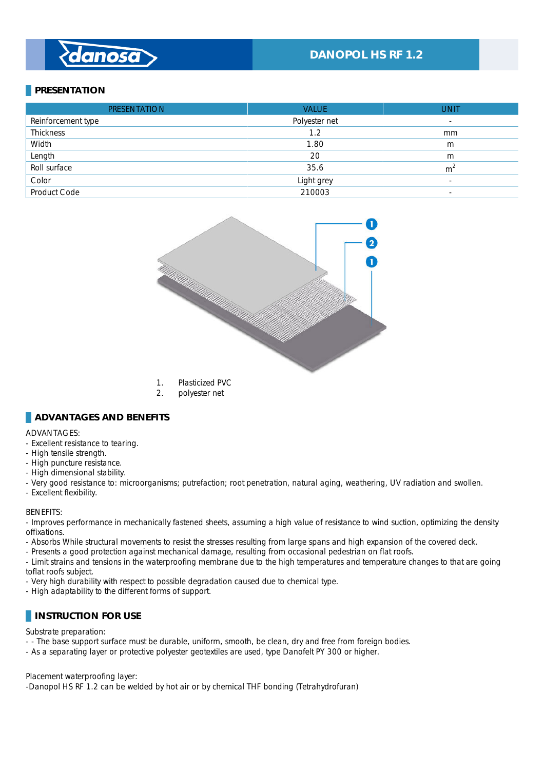# danosa

## **DANOPOL HS RF 1.2**

## **PRESENTATION**

| <b>PRESENTATION</b> | <b>VALUE</b>  | <b>UNIT</b>              |
|---------------------|---------------|--------------------------|
| Reinforcement type  | Polyester net | $\overline{\phantom{a}}$ |
| <b>Thickness</b>    | 1.2           | mm                       |
| Width               | 1.80          | m                        |
| Length              | 20            | m                        |
| Roll surface        | 35.6          | m <sup>2</sup>           |
| Color               | Light grey    | $\overline{\phantom{a}}$ |
| Product Code        | 210003        | $\overline{\phantom{a}}$ |



- 1. Plasticized PVC
- 2. polyester net

#### **ADVANTAGES AND BENEFITS**

#### ADVANTAGES: \_

- Excellent resistance to tearing.
- High tensile strength.
- High puncture resistance.
- High dimensional stability.
- Very good resistance to: microorganisms; putrefaction; root penetration, natural aging, weathering, UV radiation and swollen.
- Excellent flexibility.

#### BENEFITS: \_

- Improves performance in mechanically fastened sheets, assuming a high value of resistance to wind suction, optimizing the density offixations. \_

- Absorbs While structural movements to resist the stresses resulting from large spans and high expansion of the covered deck.

- Presents a good protection against mechanical damage, resulting from occasional pedestrian on flat roofs.

- Limit strains and tensions in the waterproofing membrane due to the high temperatures and temperature changes to that are going toflat roofs subject.

- Very high durability with respect to possible degradation caused due to chemical type.

- High adaptability to the different forms of support.

#### **INSTRUCTION FOR USE**

#### Substrate preparation:

- - The base support surface must be durable, uniform, smooth, be clean, dry and free from foreign bodies.

- As a separating layer or protective polyester geotextiles are used, type Danofelt PY 300 or higher.

#### Placement waterproofing layer:

-Danopol HS RF 1.2 can be welded by hot air or by chemical THF bonding (Tetrahydrofuran)